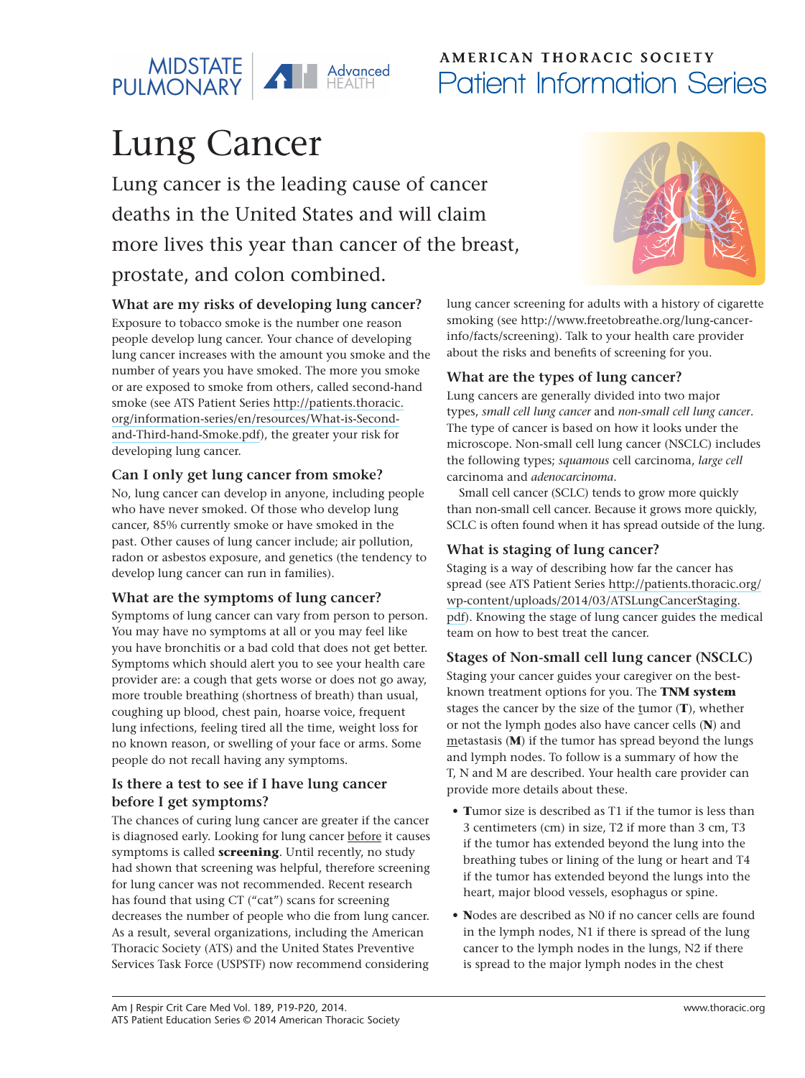

## AMERICAN THORACIC SOCIETY Patient Information Series

# Lung Cancer

Lung cancer is the leading cause of cancer deaths in the United States and will claim more lives this year than cancer of the breast, prostate, and colon combined.



#### **What are my risks of developing lung cancer?**

Exposure to tobacco smoke is the number one reason people develop lung cancer. Your chance of developing lung cancer increases with the amount you smoke and the number of years you have smoked. The more you smoke or are exposed to smoke from others, called second-hand smoke (see ATS Patient Series [http://patients.thoracic.](http://patients.thoracic.org/information-series/en/resources/What-is-Second-and-Third-hand-Smoke.pdf) [org/information-series/en/resources/What-is-Second](http://patients.thoracic.org/information-series/en/resources/What-is-Second-and-Third-hand-Smoke.pdf)[and-Third-hand-Smoke.pdf](http://patients.thoracic.org/information-series/en/resources/What-is-Second-and-Third-hand-Smoke.pdf)), the greater your risk for developing lung cancer.

#### **Can I only get lung cancer from smoke?**

No, lung cancer can develop in anyone, including people who have never smoked. Of those who develop lung cancer, 85% currently smoke or have smoked in the past. Other causes of lung cancer include; air pollution, radon or asbestos exposure, and genetics (the tendency to develop lung cancer can run in families).

#### **What are the symptoms of lung cancer?**

Symptoms of lung cancer can vary from person to person. You may have no symptoms at all or you may feel like you have bronchitis or a bad cold that does not get better. Symptoms which should alert you to see your health care provider are: a cough that gets worse or does not go away, more trouble breathing (shortness of breath) than usual, coughing up blood, chest pain, hoarse voice, frequent lung infections, feeling tired all the time, weight loss for no known reason, or swelling of your face or arms. Some people do not recall having any symptoms.

#### **Is there a test to see if I have lung cancer before I get symptoms?**

The chances of curing lung cancer are greater if the cancer is diagnosed early. Looking for lung cancer before it causes symptoms is called **screening**. Until recently, no study had shown that screening was helpful, therefore screening for lung cancer was not recommended. Recent research has found that using CT ("cat") scans for screening decreases the number of people who die from lung cancer. As a result, several organizations, including the American Thoracic Society (ATS) and the United States Preventive Services Task Force (USPSTF) now recommend considering

lung cancer screening for adults with a history of cigarette smoking (see http://www.freetobreathe.org/lung-cancerinfo/facts/screening). Talk to your health care provider about the risks and benefits of screening for you.

#### **What are the types of lung cancer?**

Lung cancers are generally divided into two major types, *small cell lung cancer* and *non-small cell lung cancer*. The type of cancer is based on how it looks under the microscope. Non-small cell lung cancer (NSCLC) includes the following types; *squamous* cell carcinoma, *large cell* carcinoma and *adenocarcinoma*.

Small cell cancer (SCLC) tends to grow more quickly than non-small cell cancer. Because it grows more quickly, SCLC is often found when it has spread outside of the lung.

#### **What is staging of lung cancer?**

Staging is a way of describing how far the cancer has spread (see ATS Patient Series [http://patients.thoracic.org/](http://patients.thoracic.org/wp-content/uploads/2014/03/ATSLungCancerStaging.pdf) [wp-content/uploads/2014/03/ATSLungCancerStaging.](http://patients.thoracic.org/wp-content/uploads/2014/03/ATSLungCancerStaging.pdf) [pdf](http://patients.thoracic.org/wp-content/uploads/2014/03/ATSLungCancerStaging.pdf)). Knowing the stage of lung cancer guides the medical team on how to best treat the cancer.

#### **Stages of Non-small cell lung cancer (NSCLC)**

Staging your cancer guides your caregiver on the bestknown treatment options for you. The **TNM system** stages the cancer by the size of the tumor (**T**), whether or not the lymph nodes also have cancer cells (**N**) and metastasis (**M**) if the tumor has spread beyond the lungs and lymph nodes. To follow is a summary of how the T, N and M are described. Your health care provider can provide more details about these.

- **• T**umor size is described as T1 if the tumor is less than 3 centimeters (cm) in size, T2 if more than 3 cm, T3 if the tumor has extended beyond the lung into the breathing tubes or lining of the lung or heart and T4 if the tumor has extended beyond the lungs into the heart, major blood vessels, esophagus or spine.
- **• N**odes are described as N0 if no cancer cells are found in the lymph nodes, N1 if there is spread of the lung cancer to the lymph nodes in the lungs, N2 if there is spread to the major lymph nodes in the chest